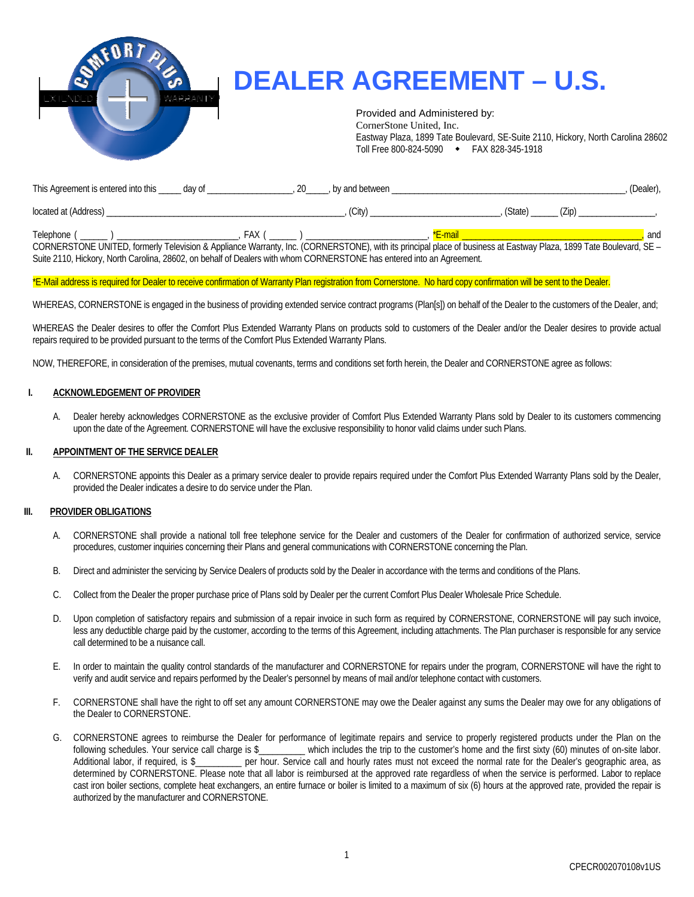

# **DEALER AGREEMENT – U.S.**

Provided and Administered by:

CornerStone United, Inc. Eastway Plaza, 1899 Tate Boulevard, SE-Suite 2110, Hickory, North Carolina 28602 Toll Free 800-824-5090 FAX 828-345-1918

| This Agreement is entered into this ______ day of                                                                                                                                          | , by and between |         | (Dealer), |
|--------------------------------------------------------------------------------------------------------------------------------------------------------------------------------------------|------------------|---------|-----------|
| located at (Address)                                                                                                                                                                       | (City)           | (State) |           |
| Telephone (<br>FAX (<br>CORNERSTONE UNITED, formerly Television & Appliance Warranty, Inc. (CORNERSTONE), with its principal place of business at Eastway Plaza, 1899 Tate Boulevard, SE - |                  | *E-mail | and       |

Suite 2110, Hickory, North Carolina, 28602, on behalf of Dealers with whom CORNERSTONE has entered into an Agreement.

#### \*E-Mail address is required for Dealer to receive confirmation of Warranty Plan registration from Cornerstone. No hard copy confirmation will be sent to the Dealer.

WHEREAS, CORNERSTONE is engaged in the business of providing extended service contract programs (Plan[s]) on behalf of the Dealer to the customers of the Dealer, and;

WHEREAS the Dealer desires to offer the Comfort Plus Extended Warranty Plans on products sold to customers of the Dealer and/or the Dealer desires to provide actual repairs required to be provided pursuant to the terms of the Comfort Plus Extended Warranty Plans.

NOW, THEREFORE, in consideration of the premises, mutual covenants, terms and conditions set forth herein, the Dealer and CORNERSTONE agree as follows:

#### **I. ACKNOWLEDGEMENT OF PROVIDER**

A. Dealer hereby acknowledges CORNERSTONE as the exclusive provider of Comfort Plus Extended Warranty Plans sold by Dealer to its customers commencing upon the date of the Agreement. CORNERSTONE will have the exclusive responsibility to honor valid claims under such Plans.

#### **II. APPOINTMENT OF THE SERVICE DEALER**

A. CORNERSTONE appoints this Dealer as a primary service dealer to provide repairs required under the Comfort Plus Extended Warranty Plans sold by the Dealer, provided the Dealer indicates a desire to do service under the Plan.

## **III. PROVIDER OBLIGATIONS**

- A. CORNERSTONE shall provide a national toll free telephone service for the Dealer and customers of the Dealer for confirmation of authorized service, service procedures, customer inquiries concerning their Plans and general communications with CORNERSTONE concerning the Plan.
- B. Direct and administer the servicing by Service Dealers of products sold by the Dealer in accordance with the terms and conditions of the Plans.
- C. Collect from the Dealer the proper purchase price of Plans sold by Dealer per the current Comfort Plus Dealer Wholesale Price Schedule.
- D. Upon completion of satisfactory repairs and submission of a repair invoice in such form as required by CORNERSTONE, CORNERSTONE will pay such invoice, less any deductible charge paid by the customer, according to the terms of this Agreement, including attachments. The Plan purchaser is responsible for any service call determined to be a nuisance call.
- E. In order to maintain the quality control standards of the manufacturer and CORNERSTONE for repairs under the program, CORNERSTONE will have the right to verify and audit service and repairs performed by the Dealer's personnel by means of mail and/or telephone contact with customers.
- F. CORNERSTONE shall have the right to off set any amount CORNERSTONE may owe the Dealer against any sums the Dealer may owe for any obligations of the Dealer to CORNERSTONE.
- G. CORNERSTONE agrees to reimburse the Dealer for performance of legitimate repairs and service to properly registered products under the Plan on the following schedules. Your service call charge is \$\_\_\_\_\_\_\_\_\_\_ which includes the trip to the customer's home and the first sixty (60) minutes of on-site labor. Additional labor, if required, is \$\_\_\_\_\_\_\_\_\_\_ per hour. Service call and hourly rates must not exceed the normal rate for the Dealer's geographic area, as determined by CORNERSTONE. Please note that all labor is reimbursed at the approved rate regardless of when the service is performed. Labor to replace cast iron boiler sections, complete heat exchangers, an entire furnace or boiler is limited to a maximum of six (6) hours at the approved rate, provided the repair is authorized by the manufacturer and CORNERSTONE.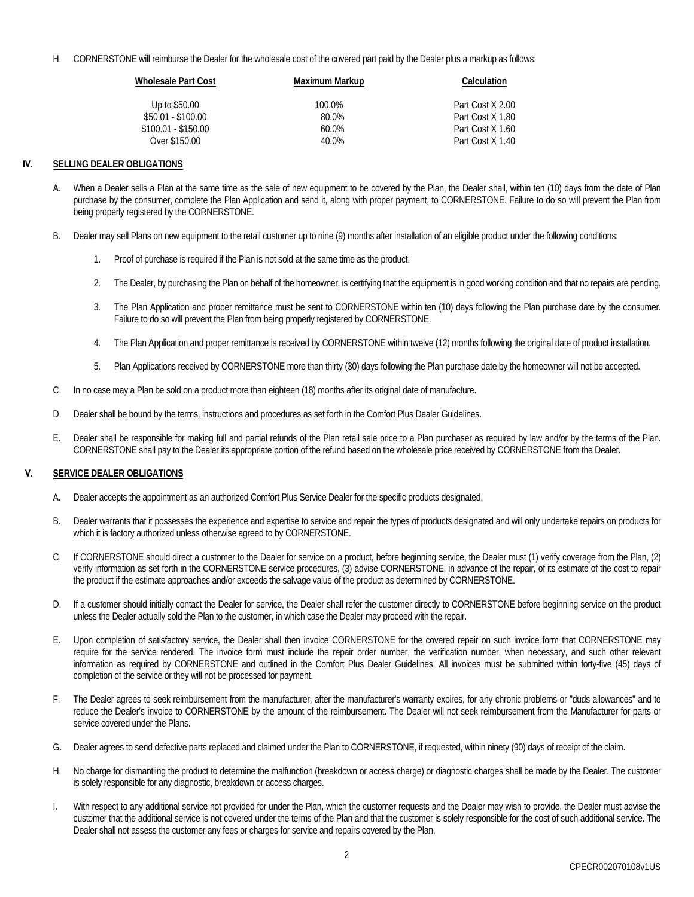H. CORNERSTONE will reimburse the Dealer for the wholesale cost of the covered part paid by the Dealer plus a markup as follows:

| <b>Wholesale Part Cost</b> | Maximum Markup | Calculation      |
|----------------------------|----------------|------------------|
| Up to \$50.00              | 100.0%         | Part Cost X 2.00 |
| $$50.01 - $100.00$         | 80.0%          | Part Cost X 1.80 |
| $$100.01 - $150.00$        | $60.0\%$       | Part Cost X 1.60 |
| Over \$150.00              | $40.0\%$       | Part Cost X 1.40 |

#### **IV. SELLING DEALER OBLIGATIONS**

- A. When a Dealer sells a Plan at the same time as the sale of new equipment to be covered by the Plan, the Dealer shall, within ten (10) days from the date of Plan purchase by the consumer, complete the Plan Application and send it, along with proper payment, to CORNERSTONE. Failure to do so will prevent the Plan from being properly registered by the CORNERSTONE.
- B. Dealer may sell Plans on new equipment to the retail customer up to nine (9) months after installation of an eligible product under the following conditions:
	- 1. Proof of purchase is required if the Plan is not sold at the same time as the product.
	- 2. The Dealer, by purchasing the Plan on behalf of the homeowner, is certifying that the equipment is in good working condition and that no repairs are pending.
	- 3. The Plan Application and proper remittance must be sent to CORNERSTONE within ten (10) days following the Plan purchase date by the consumer. Failure to do so will prevent the Plan from being properly registered by CORNERSTONE.
	- 4. The Plan Application and proper remittance is received by CORNERSTONE within twelve (12) months following the original date of product installation.
	- 5. Plan Applications received by CORNERSTONE more than thirty (30) days following the Plan purchase date by the homeowner will not be accepted.
- C. In no case may a Plan be sold on a product more than eighteen (18) months after its original date of manufacture.
- D. Dealer shall be bound by the terms, instructions and procedures as set forth in the Comfort Plus Dealer Guidelines.
- E. Dealer shall be responsible for making full and partial refunds of the Plan retail sale price to a Plan purchaser as required by law and/or by the terms of the Plan. CORNERSTONE shall pay to the Dealer its appropriate portion of the refund based on the wholesale price received by CORNERSTONE from the Dealer.

## **V. SERVICE DEALER OBLIGATIONS**

- A. Dealer accepts the appointment as an authorized Comfort Plus Service Dealer for the specific products designated.
- B. Dealer warrants that it possesses the experience and expertise to service and repair the types of products designated and will only undertake repairs on products for which it is factory authorized unless otherwise agreed to by CORNERSTONE.
- C. If CORNERSTONE should direct a customer to the Dealer for service on a product, before beginning service, the Dealer must (1) verify coverage from the Plan, (2) verify information as set forth in the CORNERSTONE service procedures, (3) advise CORNERSTONE, in advance of the repair, of its estimate of the cost to repair the product if the estimate approaches and/or exceeds the salvage value of the product as determined by CORNERSTONE.
- D. If a customer should initially contact the Dealer for service, the Dealer shall refer the customer directly to CORNERSTONE before beginning service on the product unless the Dealer actually sold the Plan to the customer, in which case the Dealer may proceed with the repair.
- E. Upon completion of satisfactory service, the Dealer shall then invoice CORNERSTONE for the covered repair on such invoice form that CORNERSTONE may require for the service rendered. The invoice form must include the repair order number, the verification number, when necessary, and such other relevant information as required by CORNERSTONE and outlined in the Comfort Plus Dealer Guidelines. All invoices must be submitted within forty-five (45) days of completion of the service or they will not be processed for payment.
- F. The Dealer agrees to seek reimbursement from the manufacturer, after the manufacturer's warranty expires, for any chronic problems or "duds allowances" and to reduce the Dealer's invoice to CORNERSTONE by the amount of the reimbursement. The Dealer will not seek reimbursement from the Manufacturer for parts or service covered under the Plans.
- G. Dealer agrees to send defective parts replaced and claimed under the Plan to CORNERSTONE, if requested, within ninety (90) days of receipt of the claim.
- H. No charge for dismantling the product to determine the malfunction (breakdown or access charge) or diagnostic charges shall be made by the Dealer. The customer is solely responsible for any diagnostic, breakdown or access charges.
- I. With respect to any additional service not provided for under the Plan, which the customer requests and the Dealer may wish to provide, the Dealer must advise the customer that the additional service is not covered under the terms of the Plan and that the customer is solely responsible for the cost of such additional service. The Dealer shall not assess the customer any fees or charges for service and repairs covered by the Plan.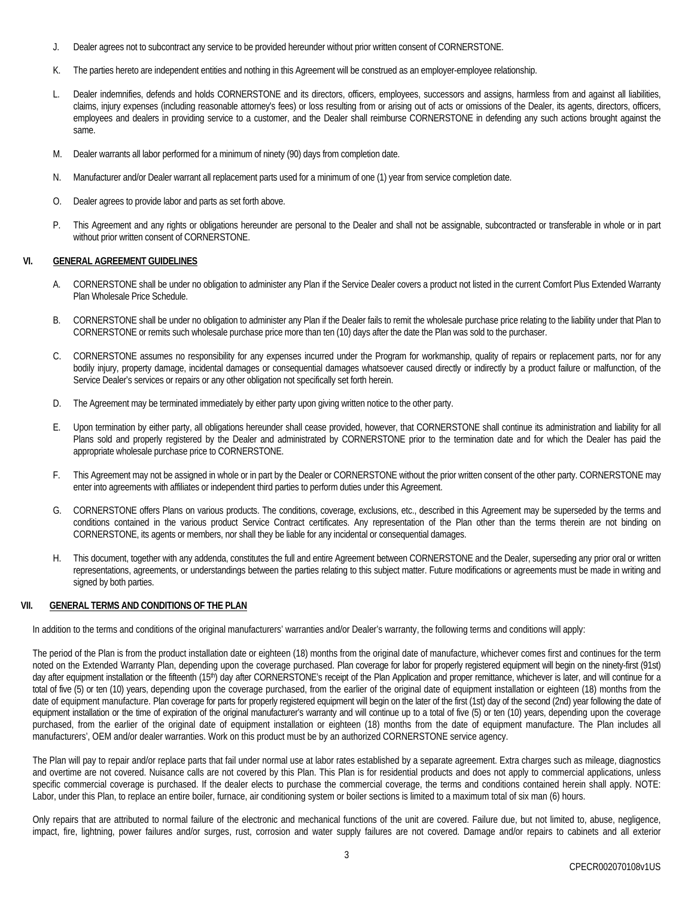- J. Dealer agrees not to subcontract any service to be provided hereunder without prior written consent of CORNERSTONE.
- K. The parties hereto are independent entities and nothing in this Agreement will be construed as an employer-employee relationship.
- L. Dealer indemnifies, defends and holds CORNERSTONE and its directors, officers, employees, successors and assigns, harmless from and against all liabilities, claims, injury expenses (including reasonable attorney's fees) or loss resulting from or arising out of acts or omissions of the Dealer, its agents, directors, officers, employees and dealers in providing service to a customer, and the Dealer shall reimburse CORNERSTONE in defending any such actions brought against the same.
- M. Dealer warrants all labor performed for a minimum of ninety (90) days from completion date.
- N. Manufacturer and/or Dealer warrant all replacement parts used for a minimum of one (1) year from service completion date.
- O. Dealer agrees to provide labor and parts as set forth above.
- P. This Agreement and any rights or obligations hereunder are personal to the Dealer and shall not be assignable, subcontracted or transferable in whole or in part without prior written consent of CORNERSTONE.

#### **VI. GENERAL AGREEMENT GUIDELINES**

- A. CORNERSTONE shall be under no obligation to administer any Plan if the Service Dealer covers a product not listed in the current Comfort Plus Extended Warranty Plan Wholesale Price Schedule.
- B. CORNERSTONE shall be under no obligation to administer any Plan if the Dealer fails to remit the wholesale purchase price relating to the liability under that Plan to CORNERSTONE or remits such wholesale purchase price more than ten (10) days after the date the Plan was sold to the purchaser.
- C. CORNERSTONE assumes no responsibility for any expenses incurred under the Program for workmanship, quality of repairs or replacement parts, nor for any bodily injury, property damage, incidental damages or consequential damages whatsoever caused directly or indirectly by a product failure or malfunction, of the Service Dealer's services or repairs or any other obligation not specifically set forth herein.
- D. The Agreement may be terminated immediately by either party upon giving written notice to the other party.
- E. Upon termination by either party, all obligations hereunder shall cease provided, however, that CORNERSTONE shall continue its administration and liability for all Plans sold and properly registered by the Dealer and administrated by CORNERSTONE prior to the termination date and for which the Dealer has paid the appropriate wholesale purchase price to CORNERSTONE.
- F. This Agreement may not be assigned in whole or in part by the Dealer or CORNERSTONE without the prior written consent of the other party. CORNERSTONE may enter into agreements with affiliates or independent third parties to perform duties under this Agreement.
- G. CORNERSTONE offers Plans on various products. The conditions, coverage, exclusions, etc., described in this Agreement may be superseded by the terms and conditions contained in the various product Service Contract certificates. Any representation of the Plan other than the terms therein are not binding on CORNERSTONE, its agents or members, nor shall they be liable for any incidental or consequential damages.
- H. This document, together with any addenda, constitutes the full and entire Agreement between CORNERSTONE and the Dealer, superseding any prior oral or written representations, agreements, or understandings between the parties relating to this subject matter. Future modifications or agreements must be made in writing and signed by both parties.

#### **VII. GENERAL TERMS AND CONDITIONS OF THE PLAN**

In addition to the terms and conditions of the original manufacturers' warranties and/or Dealer's warranty, the following terms and conditions will apply:

The period of the Plan is from the product installation date or eighteen (18) months from the original date of manufacture, whichever comes first and continues for the term noted on the Extended Warranty Plan, depending upon the coverage purchased. Plan coverage for labor for properly registered equipment will begin on the ninety-first (91st) day after equipment installation or the fifteenth (15<sup>th</sup>) day after CORNERSTONE's receipt of the Plan Application and proper remittance, whichever is later, and will continue for a total of five (5) or ten (10) years, depending upon the coverage purchased, from the earlier of the original date of equipment installation or eighteen (18) months from the date of equipment manufacture. Plan coverage for parts for properly registered equipment will begin on the later of the first (1st) day of the second (2nd) year following the date of equipment installation or the time of expiration of the original manufacturer's warranty and will continue up to a total of five (5) or ten (10) years, depending upon the coverage purchased, from the earlier of the original date of equipment installation or eighteen (18) months from the date of equipment manufacture. The Plan includes all manufacturers', OEM and/or dealer warranties. Work on this product must be by an authorized CORNERSTONE service agency.

The Plan will pay to repair and/or replace parts that fail under normal use at labor rates established by a separate agreement. Extra charges such as mileage, diagnostics and overtime are not covered. Nuisance calls are not covered by this Plan. This Plan is for residential products and does not apply to commercial applications, unless specific commercial coverage is purchased. If the dealer elects to purchase the commercial coverage, the terms and conditions contained herein shall apply. NOTE: Labor, under this Plan, to replace an entire boiler, furnace, air conditioning system or boiler sections is limited to a maximum total of six man (6) hours.

Only repairs that are attributed to normal failure of the electronic and mechanical functions of the unit are covered. Failure due, but not limited to, abuse, negligence, impact, fire, lightning, power failures and/or surges, rust, corrosion and water supply failures are not covered. Damage and/or repairs to cabinets and all exterior